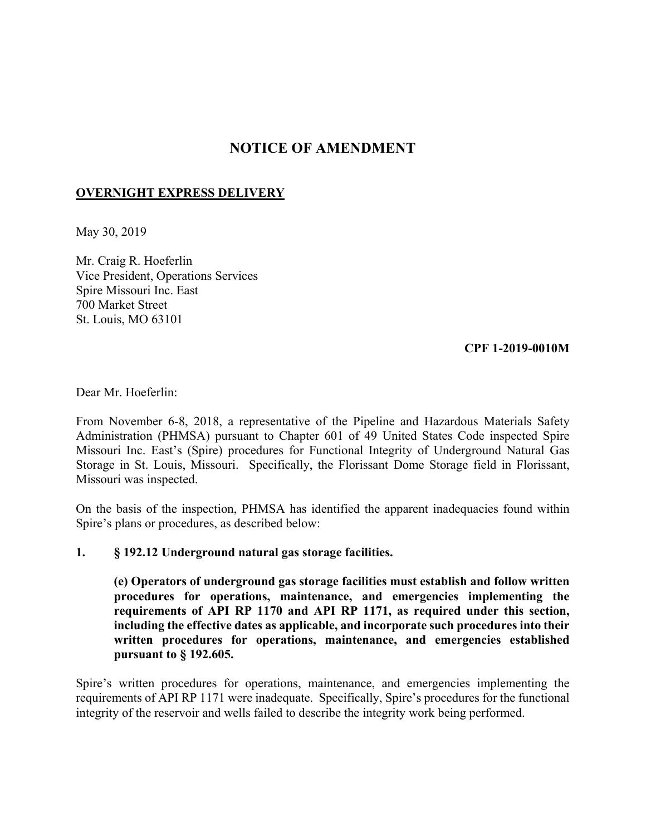# **NOTICE OF AMENDMENT**

# **OVERNIGHT EXPRESS DELIVERY**

May 30, 2019

Mr. Craig R. Hoeferlin Vice President, Operations Services Spire Missouri Inc. East 700 Market Street St. Louis, MO 63101

# **CPF 1-2019-0010M**

Dear Mr. Hoeferlin:

From November 6-8, 2018, a representative of the Pipeline and Hazardous Materials Safety Administration (PHMSA) pursuant to Chapter 601 of 49 United States Code inspected Spire Missouri Inc. East's (Spire) procedures for Functional Integrity of Underground Natural Gas Storage in St. Louis, Missouri. Specifically, the Florissant Dome Storage field in Florissant, Missouri was inspected.

On the basis of the inspection, PHMSA has identified the apparent inadequacies found within Spire's plans or procedures, as described below:

#### **1. § 192.12 Underground natural gas storage facilities.**

 **(e) Operators of underground gas storage facilities must establish and follow written procedures for operations, maintenance, and emergencies implementing the requirements of API RP 1170 and API RP 1171, as required under this section, including the effective dates as applicable, and incorporate such procedures into their written procedures for operations, maintenance, and emergencies established pursuant to § 192.605.** 

Spire's written procedures for operations, maintenance, and emergencies implementing the requirements of API RP 1171 were inadequate. Specifically, Spire's procedures for the functional integrity of the reservoir and wells failed to describe the integrity work being performed.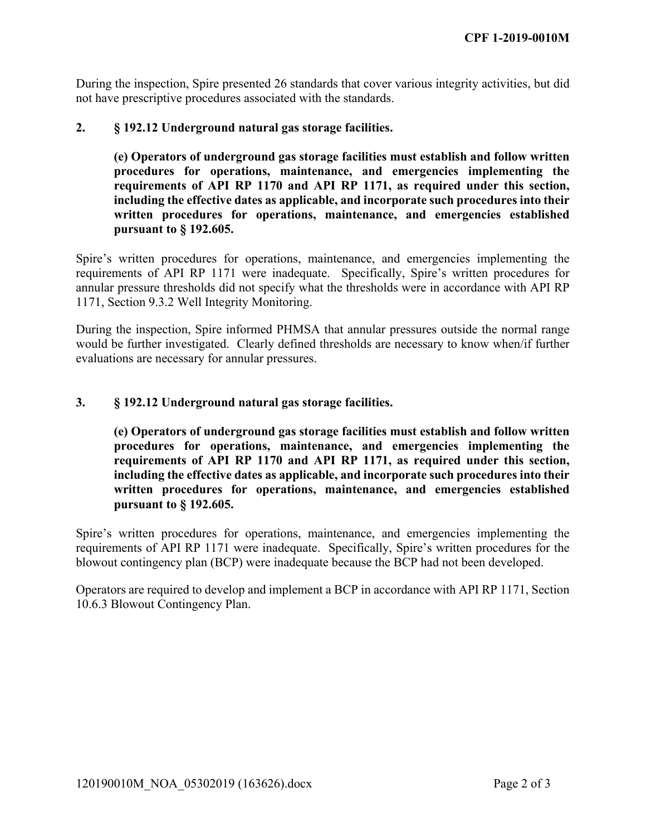not have prescriptive procedures associated with the standards. During the inspection, Spire presented 26 standards that cover various integrity activities, but did

# **2. § 192.12 Underground natural gas storage facilities.**

 **(e) Operators of underground gas storage facilities must establish and follow written procedures for operations, maintenance, and emergencies implementing the requirements of API RP 1170 and API RP 1171, as required under this section, including the effective dates as applicable, and incorporate such procedures into their written procedures for operations, maintenance, and emergencies established pursuant to § 192.605.** 

Spire's written procedures for operations, maintenance, and emergencies implementing the requirements of API RP 1171 were inadequate. Specifically, Spire's written procedures for annular pressure thresholds did not specify what the thresholds were in accordance with API RP 1171, Section 9.3.2 Well Integrity Monitoring.

During the inspection, Spire informed PHMSA that annular pressures outside the normal range would be further investigated. Clearly defined thresholds are necessary to know when/if further evaluations are necessary for annular pressures.

#### **3. § 192.12 Underground natural gas storage facilities.**

 **(e) Operators of underground gas storage facilities must establish and follow written procedures for operations, maintenance, and emergencies implementing the requirements of API RP 1170 and API RP 1171, as required under this section, including the effective dates as applicable, and incorporate such procedures into their written procedures for operations, maintenance, and emergencies established pursuant to § 192.605.** 

Spire's written procedures for operations, maintenance, and emergencies implementing the requirements of API RP 1171 were inadequate. Specifically, Spire's written procedures for the blowout contingency plan (BCP) were inadequate because the BCP had not been developed.

 Operators are required to develop and implement a BCP in accordance with API RP 1171, Section 10.6.3 Blowout Contingency Plan.